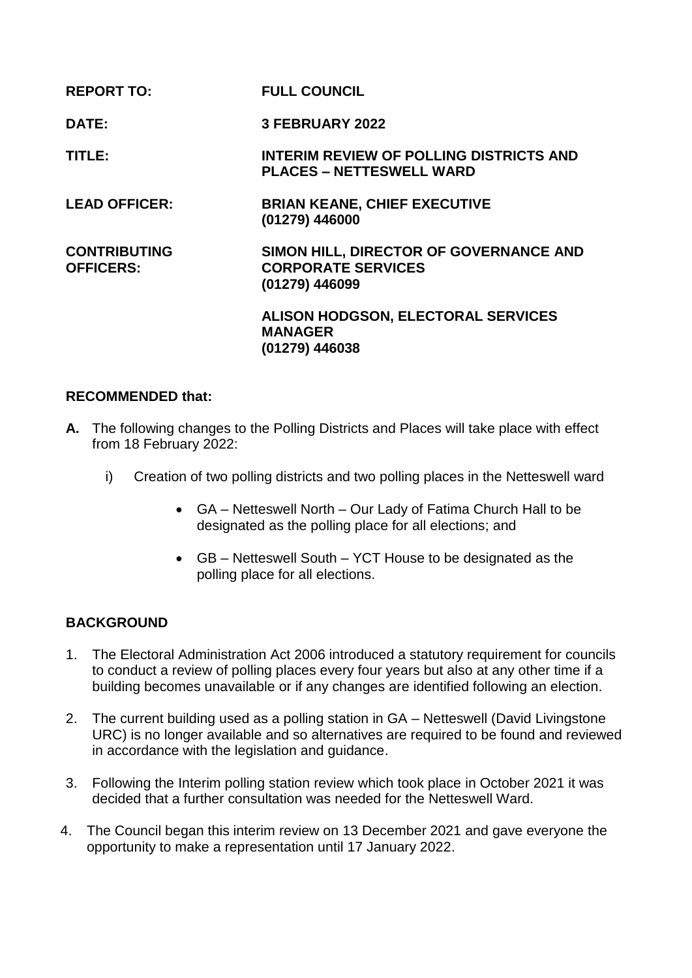| <b>REPORT TO:</b>                       | <b>FULL COUNCIL</b>                                                                   |
|-----------------------------------------|---------------------------------------------------------------------------------------|
| <b>DATE:</b>                            | 3 FEBRUARY 2022                                                                       |
| TITLE:                                  | <b>INTERIM REVIEW OF POLLING DISTRICTS AND</b><br><b>PLACES – NETTESWELL WARD</b>     |
| <b>LEAD OFFICER:</b>                    | <b>BRIAN KEANE, CHIEF EXECUTIVE</b><br>(01279) 446000                                 |
| <b>CONTRIBUTING</b><br><b>OFFICERS:</b> | SIMON HILL, DIRECTOR OF GOVERNANCE AND<br><b>CORPORATE SERVICES</b><br>(01279) 446099 |
|                                         | <b>ALISON HODGSON, ELECTORAL SERVICES</b><br><b>MANAGER</b><br>(01279) 446038         |

## **RECOMMENDED that:**

- **A.** The following changes to the Polling Districts and Places will take place with effect from 18 February 2022:
	- i) Creation of two polling districts and two polling places in the Netteswell ward
		- GA Netteswell North Our Lady of Fatima Church Hall to be designated as the polling place for all elections; and
		- GB Netteswell South YCT House to be designated as the polling place for all elections.

# **BACKGROUND**

- 1. The Electoral Administration Act 2006 introduced a statutory requirement for councils to conduct a review of polling places every four years but also at any other time if a building becomes unavailable or if any changes are identified following an election.
- 2. The current building used as a polling station in GA Netteswell (David Livingstone URC) is no longer available and so alternatives are required to be found and reviewed in accordance with the legislation and guidance.
- 3. Following the Interim polling station review which took place in October 2021 it was decided that a further consultation was needed for the Netteswell Ward.
- 4. The Council began this interim review on 13 December 2021 and gave everyone the opportunity to make a representation until 17 January 2022.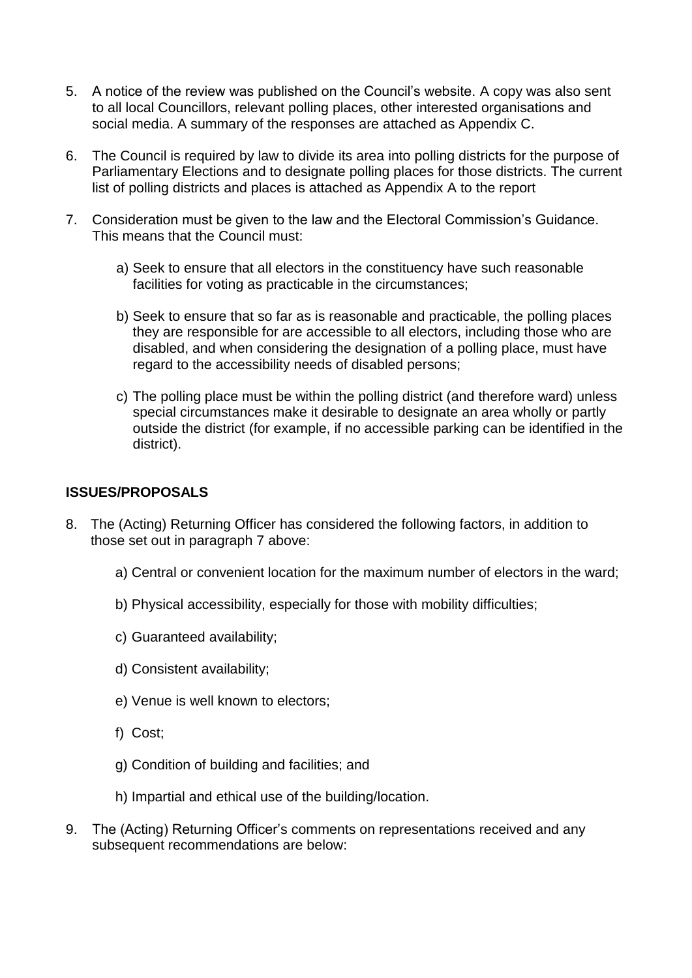- 5. A notice of the review was published on the Council's website. A copy was also sent to all local Councillors, relevant polling places, other interested organisations and social media. A summary of the responses are attached as Appendix C.
- 6. The Council is required by law to divide its area into polling districts for the purpose of Parliamentary Elections and to designate polling places for those districts. The current list of polling districts and places is attached as Appendix A to the report
- 7. Consideration must be given to the law and the Electoral Commission's Guidance. This means that the Council must:
	- a) Seek to ensure that all electors in the constituency have such reasonable facilities for voting as practicable in the circumstances;
	- b) Seek to ensure that so far as is reasonable and practicable, the polling places they are responsible for are accessible to all electors, including those who are disabled, and when considering the designation of a polling place, must have regard to the accessibility needs of disabled persons;
	- c) The polling place must be within the polling district (and therefore ward) unless special circumstances make it desirable to designate an area wholly or partly outside the district (for example, if no accessible parking can be identified in the district).

# **ISSUES/PROPOSALS**

- 8. The (Acting) Returning Officer has considered the following factors, in addition to those set out in paragraph 7 above:
	- a) Central or convenient location for the maximum number of electors in the ward;
	- b) Physical accessibility, especially for those with mobility difficulties;
	- c) Guaranteed availability;
	- d) Consistent availability;
	- e) Venue is well known to electors;
	- f) Cost;
	- g) Condition of building and facilities; and
	- h) Impartial and ethical use of the building/location.
- 9. The (Acting) Returning Officer's comments on representations received and any subsequent recommendations are below: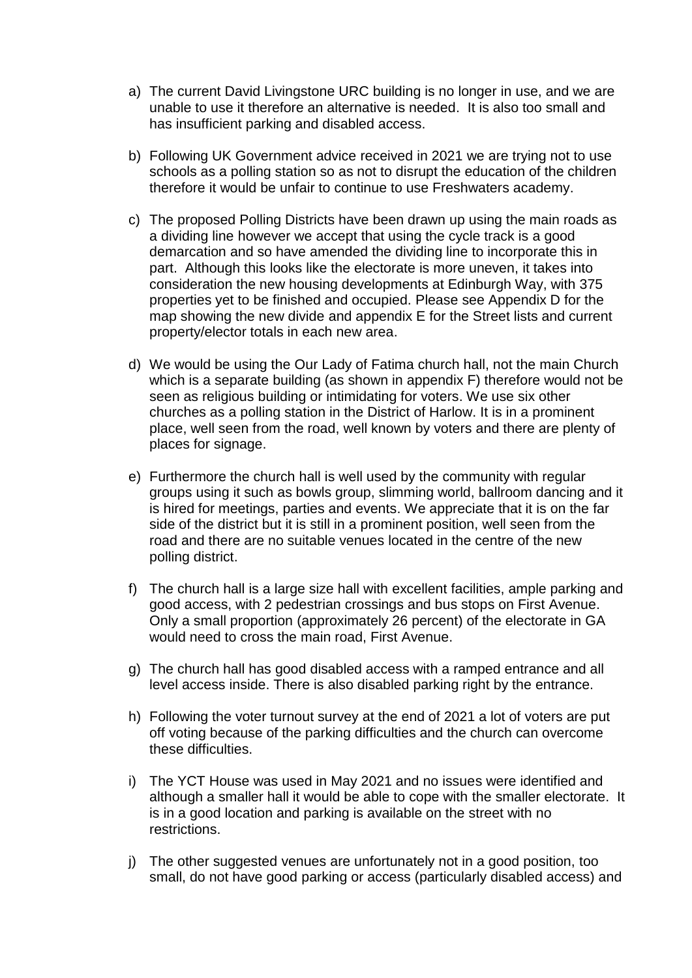- a) The current David Livingstone URC building is no longer in use, and we are unable to use it therefore an alternative is needed. It is also too small and has insufficient parking and disabled access.
- b) Following UK Government advice received in 2021 we are trying not to use schools as a polling station so as not to disrupt the education of the children therefore it would be unfair to continue to use Freshwaters academy.
- c) The proposed Polling Districts have been drawn up using the main roads as a dividing line however we accept that using the cycle track is a good demarcation and so have amended the dividing line to incorporate this in part. Although this looks like the electorate is more uneven, it takes into consideration the new housing developments at Edinburgh Way, with 375 properties yet to be finished and occupied. Please see Appendix D for the map showing the new divide and appendix E for the Street lists and current property/elector totals in each new area.
- d) We would be using the Our Lady of Fatima church hall, not the main Church which is a separate building (as shown in appendix F) therefore would not be seen as religious building or intimidating for voters. We use six other churches as a polling station in the District of Harlow. It is in a prominent place, well seen from the road, well known by voters and there are plenty of places for signage.
- e) Furthermore the church hall is well used by the community with regular groups using it such as bowls group, slimming world, ballroom dancing and it is hired for meetings, parties and events. We appreciate that it is on the far side of the district but it is still in a prominent position, well seen from the road and there are no suitable venues located in the centre of the new polling district.
- f) The church hall is a large size hall with excellent facilities, ample parking and good access, with 2 pedestrian crossings and bus stops on First Avenue. Only a small proportion (approximately 26 percent) of the electorate in GA would need to cross the main road, First Avenue.
- g) The church hall has good disabled access with a ramped entrance and all level access inside. There is also disabled parking right by the entrance.
- h) Following the voter turnout survey at the end of 2021 a lot of voters are put off voting because of the parking difficulties and the church can overcome these difficulties.
- i) The YCT House was used in May 2021 and no issues were identified and although a smaller hall it would be able to cope with the smaller electorate. It is in a good location and parking is available on the street with no restrictions.
- j) The other suggested venues are unfortunately not in a good position, too small, do not have good parking or access (particularly disabled access) and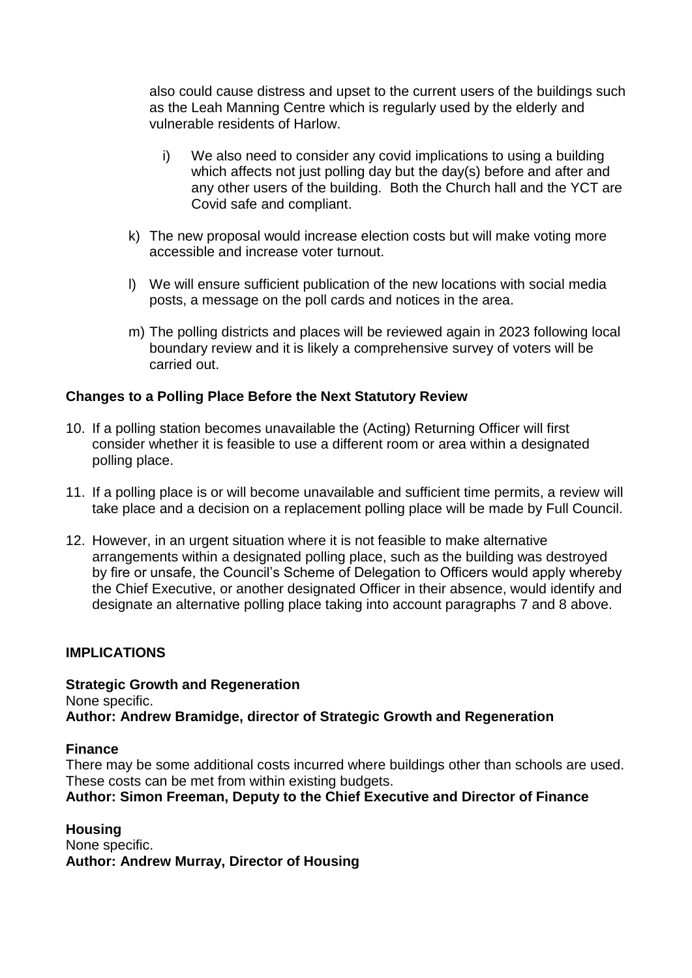also could cause distress and upset to the current users of the buildings such as the Leah Manning Centre which is regularly used by the elderly and vulnerable residents of Harlow.

- i) We also need to consider any covid implications to using a building which affects not just polling day but the day(s) before and after and any other users of the building. Both the Church hall and the YCT are Covid safe and compliant.
- k) The new proposal would increase election costs but will make voting more accessible and increase voter turnout.
- l) We will ensure sufficient publication of the new locations with social media posts, a message on the poll cards and notices in the area.
- m) The polling districts and places will be reviewed again in 2023 following local boundary review and it is likely a comprehensive survey of voters will be carried out.

# **Changes to a Polling Place Before the Next Statutory Review**

- 10. If a polling station becomes unavailable the (Acting) Returning Officer will first consider whether it is feasible to use a different room or area within a designated polling place.
- 11. If a polling place is or will become unavailable and sufficient time permits, a review will take place and a decision on a replacement polling place will be made by Full Council.
- 12. However, in an urgent situation where it is not feasible to make alternative arrangements within a designated polling place, such as the building was destroyed by fire or unsafe, the Council's Scheme of Delegation to Officers would apply whereby the Chief Executive, or another designated Officer in their absence, would identify and designate an alternative polling place taking into account paragraphs 7 and 8 above.

## **IMPLICATIONS**

## **Strategic Growth and Regeneration**

None specific.

**Author: Andrew Bramidge, director of Strategic Growth and Regeneration**

#### **Finance**

There may be some additional costs incurred where buildings other than schools are used. These costs can be met from within existing budgets.

# **Author: Simon Freeman, Deputy to the Chief Executive and Director of Finance**

**Housing** None specific. **Author: Andrew Murray, Director of Housing**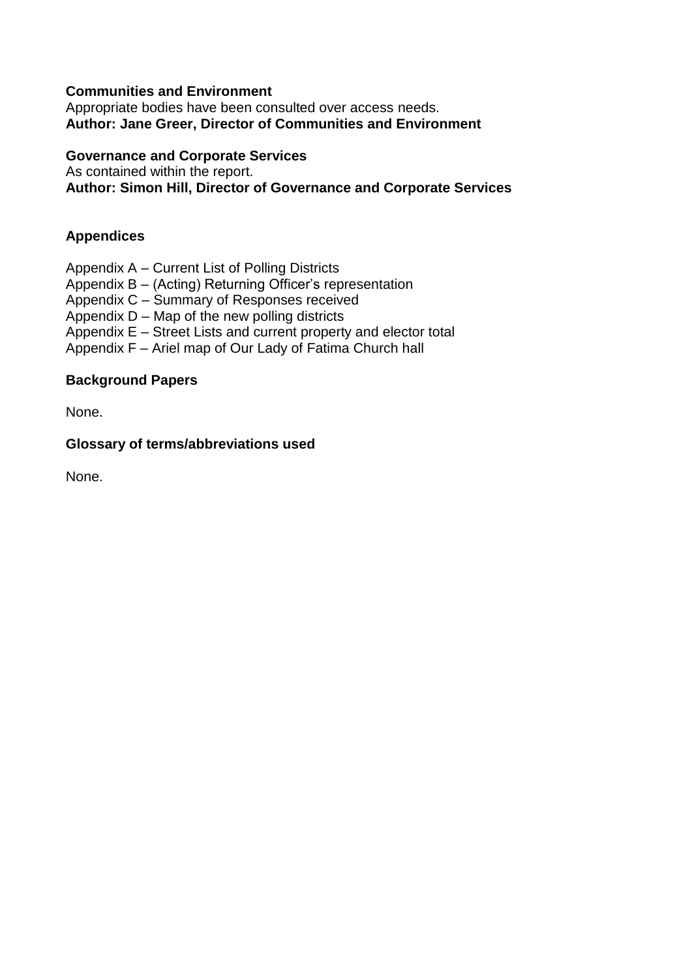# **Communities and Environment**

Appropriate bodies have been consulted over access needs. **Author: Jane Greer, Director of Communities and Environment**

#### **Governance and Corporate Services**

As contained within the report.

**Author: Simon Hill, Director of Governance and Corporate Services**

## **Appendices**

Appendix A – Current List of Polling Districts

Appendix B – (Acting) Returning Officer's representation

Appendix C – Summary of Responses received

Appendix D – Map of the new polling districts

Appendix E – Street Lists and current property and elector total

Appendix F – Ariel map of Our Lady of Fatima Church hall

## **Background Papers**

None.

#### **Glossary of terms/abbreviations used**

None.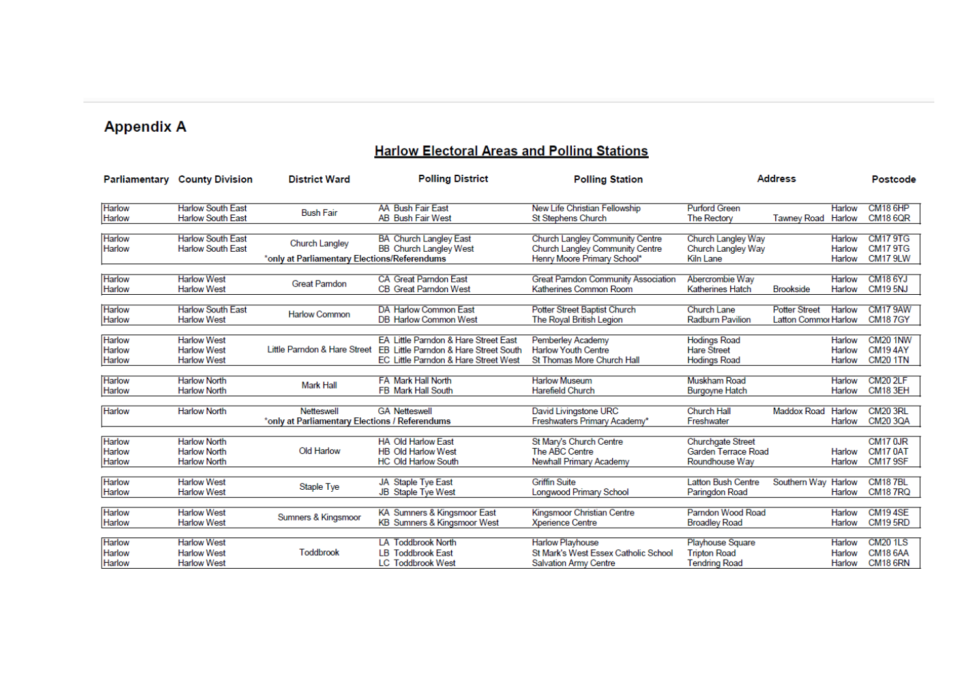# **Appendix A**

# **Harlow Electoral Areas and Polling Stations**

| Parliamentary    | <b>County Division</b>                   | <b>District Ward</b>                           | <b>Polling District</b>                                                       | <b>Polling Station</b>                                   |                           | <b>Address</b>       |                  | Postcode                          |
|------------------|------------------------------------------|------------------------------------------------|-------------------------------------------------------------------------------|----------------------------------------------------------|---------------------------|----------------------|------------------|-----------------------------------|
| Harlow           | <b>Harlow South East</b>                 | <b>Bush Fair</b>                               | <b>AA Bush Fair East</b>                                                      | New Life Christian Fellowship                            | <b>Purford Green</b>      |                      | Harlow           | <b>CM18 6HP</b>                   |
| Harlow           | <b>Harlow South East</b>                 |                                                | <b>AB Bush Fair West</b>                                                      | <b>St Stephens Church</b>                                | The Rectory               | <b>Tawnev Road</b>   | Harlow           | <b>CM18 6QR</b>                   |
| <b>Harlow</b>    | <b>Harlow South East</b>                 |                                                | <b>BA Church Langley East</b>                                                 | Church Langley Community Centre                          | Church Langley Way        |                      | Harlow           | <b>CM179TG</b>                    |
| Harlow           | <b>Harlow South East</b>                 | Church Langley                                 | <b>BB</b> Church Langley West                                                 | Church Langley Community Centre                          | Church Langley Way        |                      | Harlow           | <b>CM17 9TG</b>                   |
|                  |                                          | *only at Parliamentary Elections/Referendums   |                                                                               | Henry Moore Primary School*                              | Kiln Lane                 |                      | Harlow           | <b>CM17 9LW</b>                   |
| Harlow           | <b>Harlow West</b>                       |                                                | <b>CA Great Parndon East</b>                                                  | <b>Great Pamdon Community Association</b>                | Abercrombie Way           |                      | Harlow           | <b>CM18 6YJ</b>                   |
| Harlow           | <b>Harlow West</b>                       | <b>Great Parndon</b>                           | <b>CB Great Parndon West</b>                                                  | Katherines Common Room                                   | Katherines Hatch          | <b>Brookside</b>     | Harlow           | <b>CM195NJ</b>                    |
| Harlow           | <b>Harlow South East</b>                 |                                                | DA Harlow Common East                                                         | Potter Street Baptist Church                             | <b>Church Lane</b>        | <b>Potter Street</b> | Harlow           | <b>CM17 9AW</b>                   |
| Harlow           | <b>Harlow West</b>                       | <b>Harlow Common</b>                           | <b>DB Harlow Common West</b>                                                  | The Royal British Legion                                 | <b>Radburn Pavilion</b>   | Latton Commor Harlow |                  | <b>CM187GY</b>                    |
|                  |                                          |                                                |                                                                               |                                                          |                           |                      |                  |                                   |
| <b>Harlow</b>    | <b>Harlow West</b>                       | Little Parndon & Hare Street                   | EA Little Parndon & Hare Street East                                          | Pemberley Academy                                        | <b>Hodings Road</b>       |                      | Harlow           | <b>CM20 1NW</b>                   |
| Harlow<br>Harlow | <b>Harlow West</b><br><b>Harlow West</b> |                                                | EB Little Parndon & Hare Street South<br>EC Little Parndon & Hare Street West | <b>Harlow Youth Centre</b><br>St Thomas More Church Hall | <b>Hare Street</b>        |                      | Harlow<br>Harlow | <b>CM194AY</b><br><b>CM20 1TN</b> |
|                  |                                          |                                                |                                                                               |                                                          | <b>Hodings Road</b>       |                      |                  |                                   |
| <b>Harlow</b>    | <b>Harlow North</b>                      |                                                | <b>FA Mark Hall North</b>                                                     | <b>Harlow Museum</b>                                     | Muskham Road              |                      | <b>Harlow</b>    | <b>CM20 2LF</b>                   |
| Harlow           | <b>Harlow North</b>                      | <b>Mark Hall</b>                               | FB Mark Hall South                                                            | Harefield Church                                         | <b>Burgoyne Hatch</b>     |                      | Harlow           | <b>CM18 3EH</b>                   |
| Harlow           | <b>Harlow North</b>                      | Netteswell                                     | <b>GA Netteswell</b>                                                          | David Livingstone URC                                    | <b>Church Hall</b>        | Maddox Road          | Harlow           | <b>CM20 3RL</b>                   |
|                  |                                          | *only at Parliamentary Elections / Referendums |                                                                               | Freshwaters Primary Academy*                             | Freshwater                |                      | Harlow           | <b>CM20 3QA</b>                   |
| Harlow           | <b>Harlow North</b>                      |                                                | <b>HA Old Harlow East</b>                                                     | St Mary's Church Centre                                  | <b>Churchgate Street</b>  |                      |                  | CM17 0JR                          |
| Harlow           | <b>Harlow North</b>                      | Old Harlow                                     | <b>HB Old Harlow West</b>                                                     | The ABC Centre                                           | Garden Terrace Road       |                      | Harlow           | <b>CM17 0AT</b>                   |
| Harlow           | <b>Harlow North</b>                      |                                                | <b>HC Old Harlow South</b>                                                    | <b>Newhall Primary Academy</b>                           | Roundhouse Way            |                      | Harlow           | <b>CM17 9SF</b>                   |
| Harlow           | <b>Harlow West</b>                       |                                                | <b>JA Staple Tve East</b>                                                     | <b>Griffin Suite</b>                                     | <b>Latton Bush Centre</b> | Southern Way         | Harlow           | <b>CM187BL</b>                    |
| Harlow           | <b>Harlow West</b>                       | <b>Staple Tye</b>                              | <b>JB Staple Tye West</b>                                                     | Longwood Primary School                                  | Paringdon Road            |                      | Harlow           | <b>CM187RQ</b>                    |
| Harlow           | <b>Harlow West</b>                       |                                                | KA Sumners & Kingsmoor East                                                   | Kingsmoor Christian Centre                               | Parndon Wood Road         |                      | Harlow           | <b>CM194SE</b>                    |
| Harlow           | <b>Harlow West</b>                       | Sumners & Kingsmoor                            | <b>KB Sumners &amp; Kingsmoor West</b>                                        | <b>Xperience Centre</b>                                  | <b>Broadley Road</b>      |                      | Harlow           | <b>CM19 5RD</b>                   |
|                  |                                          |                                                |                                                                               |                                                          |                           |                      |                  |                                   |
| <b>Harlow</b>    | <b>Harlow West</b>                       |                                                | <b>LA Toddbrook North</b>                                                     | <b>Harlow Playhouse</b>                                  | Playhouse Square          |                      | Harlow           | <b>CM201LS</b>                    |
| Harlow           | <b>Harlow West</b>                       | <b>Toddbrook</b>                               | <b>LB</b> Toddbrook East                                                      | St Mark's West Essex Catholic School                     | <b>Tripton Road</b>       |                      | Harlow           | <b>CM18 6AA</b>                   |
| Harlow           | <b>Harlow West</b>                       |                                                | <b>LC Toddbrook West</b>                                                      | <b>Salvation Army Centre</b>                             | <b>Tendring Road</b>      |                      | Harlow           | <b>CM18 6RN</b>                   |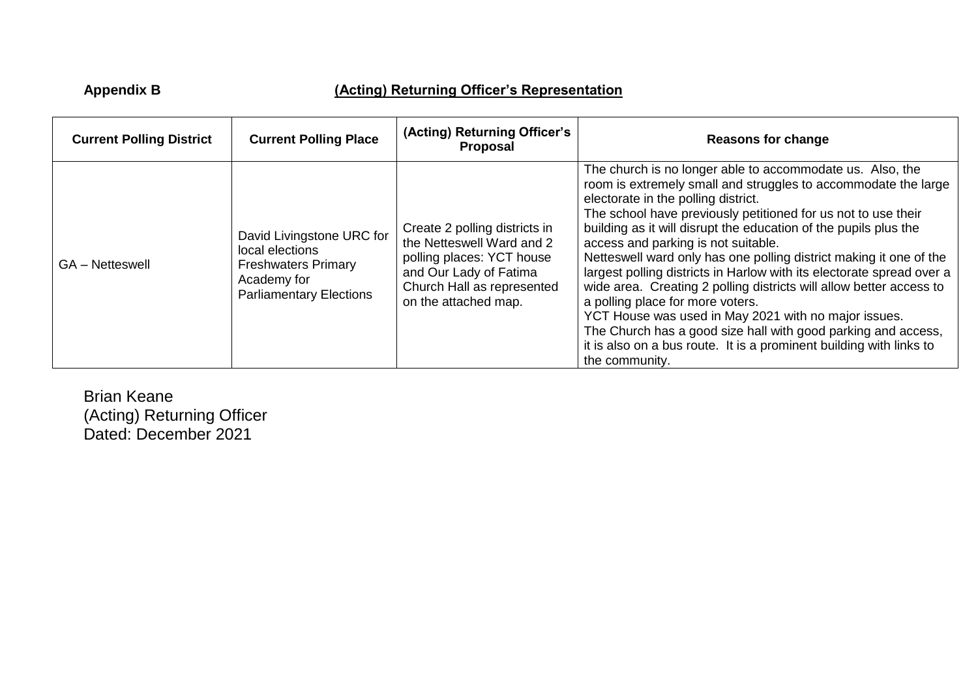# **Appendix B (Acting) Returning Officer's Representation**

| <b>Current Polling District</b> | <b>Current Polling Place</b>                                                                                                | (Acting) Returning Officer's<br>Proposal                                                                                                                                | <b>Reasons for change</b>                                                                                                                                                                                                                                                                                                                                                                                                                                                                                                                                                                                                                                                                                                                                                                                                  |
|---------------------------------|-----------------------------------------------------------------------------------------------------------------------------|-------------------------------------------------------------------------------------------------------------------------------------------------------------------------|----------------------------------------------------------------------------------------------------------------------------------------------------------------------------------------------------------------------------------------------------------------------------------------------------------------------------------------------------------------------------------------------------------------------------------------------------------------------------------------------------------------------------------------------------------------------------------------------------------------------------------------------------------------------------------------------------------------------------------------------------------------------------------------------------------------------------|
| <b>GA</b> – Netteswell          | David Livingstone URC for<br>local elections<br><b>Freshwaters Primary</b><br>Academy for<br><b>Parliamentary Elections</b> | Create 2 polling districts in<br>the Netteswell Ward and 2<br>polling places: YCT house<br>and Our Lady of Fatima<br>Church Hall as represented<br>on the attached map. | The church is no longer able to accommodate us. Also, the<br>room is extremely small and struggles to accommodate the large<br>electorate in the polling district.<br>The school have previously petitioned for us not to use their<br>building as it will disrupt the education of the pupils plus the<br>access and parking is not suitable.<br>Netteswell ward only has one polling district making it one of the<br>largest polling districts in Harlow with its electorate spread over a<br>wide area. Creating 2 polling districts will allow better access to<br>a polling place for more voters.<br>YCT House was used in May 2021 with no major issues.<br>The Church has a good size hall with good parking and access,<br>it is also on a bus route. It is a prominent building with links to<br>the community. |

Brian Keane (Acting) Returning Officer Dated: December 2021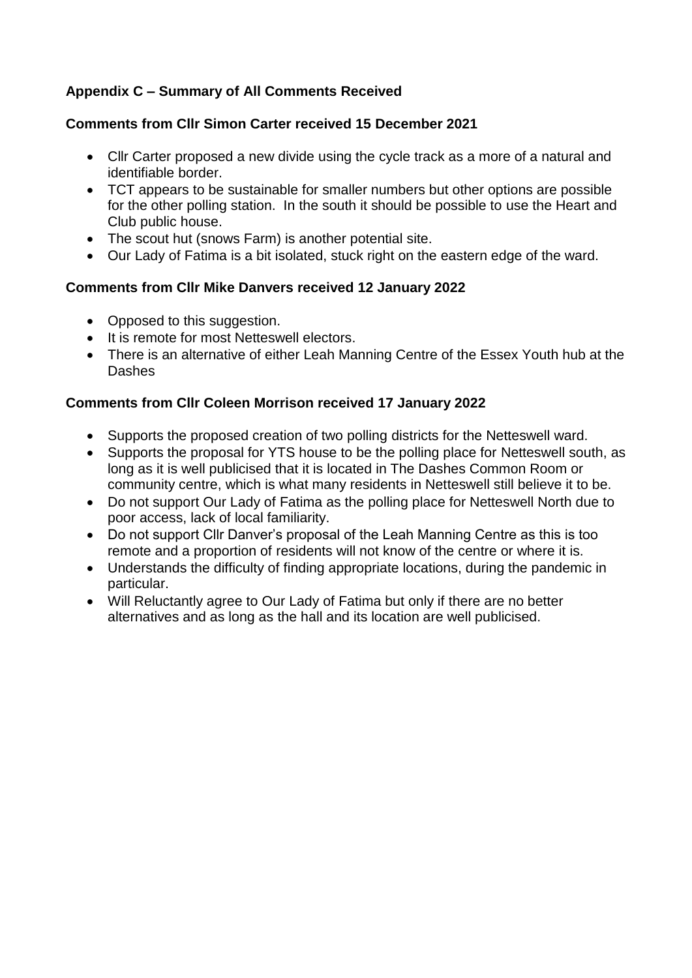# **Appendix C – Summary of All Comments Received**

# **Comments from Cllr Simon Carter received 15 December 2021**

- Cllr Carter proposed a new divide using the cycle track as a more of a natural and identifiable border.
- TCT appears to be sustainable for smaller numbers but other options are possible for the other polling station. In the south it should be possible to use the Heart and Club public house.
- The scout hut (snows Farm) is another potential site.
- Our Lady of Fatima is a bit isolated, stuck right on the eastern edge of the ward.

# **Comments from Cllr Mike Danvers received 12 January 2022**

- Opposed to this suggestion.
- It is remote for most Netteswell electors.
- There is an alternative of either Leah Manning Centre of the Essex Youth hub at the **Dashes**

# **Comments from Cllr Coleen Morrison received 17 January 2022**

- Supports the proposed creation of two polling districts for the Netteswell ward.
- Supports the proposal for YTS house to be the polling place for Netteswell south, as long as it is well publicised that it is located in The Dashes Common Room or community centre, which is what many residents in Netteswell still believe it to be.
- Do not support Our Lady of Fatima as the polling place for Netteswell North due to poor access, lack of local familiarity.
- Do not support Cllr Danver's proposal of the Leah Manning Centre as this is too remote and a proportion of residents will not know of the centre or where it is.
- Understands the difficulty of finding appropriate locations, during the pandemic in particular.
- Will Reluctantly agree to Our Lady of Fatima but only if there are no better alternatives and as long as the hall and its location are well publicised.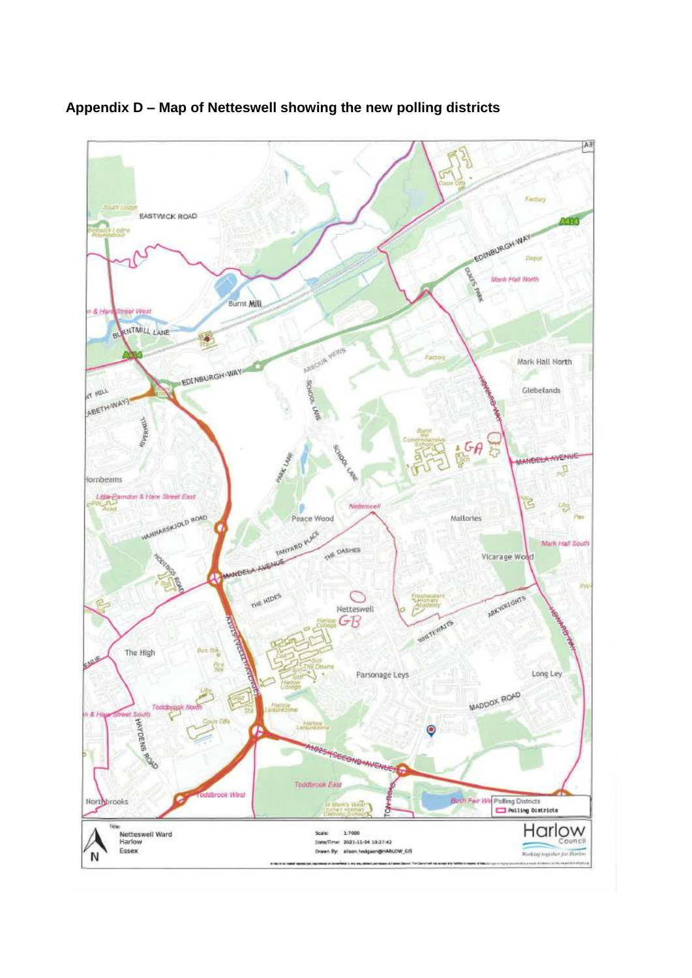

**Appendix D – Map of Netteswell showing the new polling districts**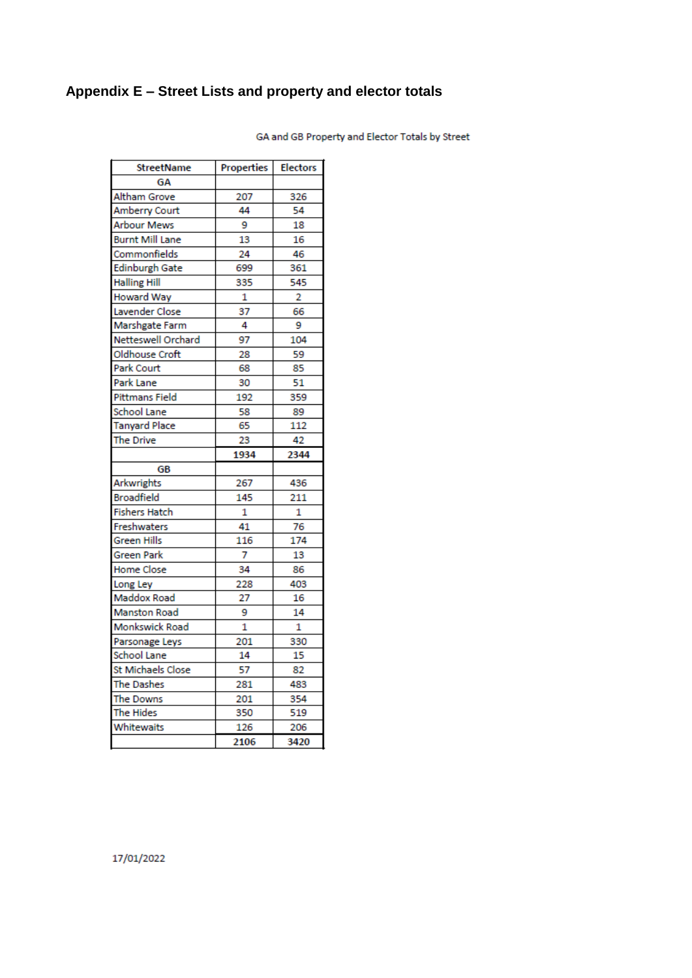# **Appendix E – Street Lists and property and elector totals**

| <b>StreetName</b>     | Properties | <b>Electors</b> |
|-----------------------|------------|-----------------|
| GΑ                    |            |                 |
| Altham Grove          | 207        | 326             |
| Amberry Court         | 44         | 54              |
| Arbour Mews           | 9          | 18              |
| Burnt Mill Lane       | 13         | 16              |
| Commonfields          | 24         | 46              |
| <b>Edinburgh Gate</b> | 699        | 361             |
| <b>Halling Hill</b>   | 335        | 545             |
| Howard Way            | 1          | $\overline{2}$  |
| Lavender Close        | 37         | 66              |
| Marshgate Farm        | 4          | 9               |
| Netteswell Orchard    | 97         | 104             |
| Oldhouse Croft        | 28         | 59              |
| Park Court            | 68         | 85              |
| Park Lane             | 30         | 51              |
| Pittmans Field        | 192        | 359             |
| <b>School Lane</b>    | 58         | 89              |
| <b>Tanyard Place</b>  | 65         | 112             |
| The Drive             | 23         | 42              |
|                       | 1934       | 2344            |
| GВ                    |            |                 |
| Arkwrights            | 267        | 436             |
| <b>Broadfield</b>     | 145        | 211             |
| <b>Fishers Hatch</b>  | 1          | 1               |
| Freshwaters           | 41         | 76              |
| Green Hills           | 116        | 174             |
| Green Park            | 7          | 13              |
| Home Close            | 34         | 86              |
| Long Ley              | 228        | 403             |
| Maddox Road           | 27         | 16              |
| <b>Manston Road</b>   | 9          | 14              |
| Monkswick Road        | 1          | 1               |
| Parsonage Leys        | 201        | 330             |
| School Lane           | 14         | 15              |
| St Michaels Close     | 57         | 82              |
| <b>The Dashes</b>     | 281        | 483             |
| The Downs             | 201        | 354             |
| The Hides             | 350        | 519             |
| Whitewaits            | 126        | 206             |
|                       | 2106       | 3420            |

GA and GB Property and Elector Totals by Street

17/01/2022